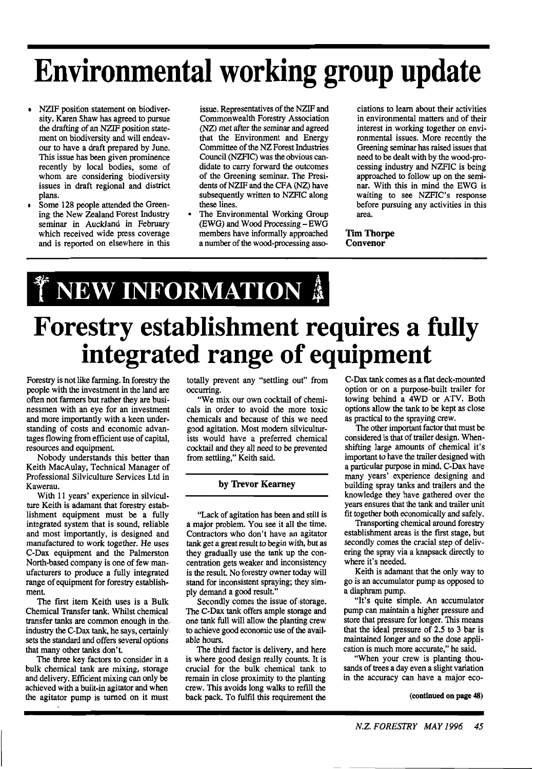# **Environmental working group update**

- NZIF position statement on biodiversity. Karen Shaw has agreed to pursue the drafting of an NZTF position statement on biodiversity and will endeavour to have a draft prepared by June. This issue has been given prominence recently by local bodies, some of whom are considering biodiversity issues in draft regional and district plans.
- Some 128 people attended the Greening the New Zealand Forest Industry seminar in Auckland in February which received wide press coverage and is reported on elsewhere in this

issue. Representatives of the NZIF and Commonwealth Forestry Association (NZ) met after the seminar and agreed that the Environment and Energy Committee of the NZ Forest Industries Council (NZFIC) was the obvious candidate to carry forward the outcomes of the Greening seminar. The Presidents of NZIF and the CFA (NZ) have subsequently written to NZFIC along these lines.

The Environmental Working Group (EWG) and Wood Processing - EWG members have informally approached a number of the wood-processing associations to learn about their activities in environmental matters and of their interest in working together on environmental issues. More recently the Greening seminar **has** raised issues that need to be dealt with by the wood-processing industry and NZFIC is being approached to follow up on the seminar. With this in mind the EWG is waiting to see NZFIC's response before pursuing any activities in this area.

**Tim Thorpe Convenor** 

## T NEW INFORMATION 4

## **Forestry establishment requires a fully integrated range of equipment**

Forestry is not like farming. In forestry the people with the investment in the land **are**  often not farmers but rather they are businessmen with an eye for an investment and more importantly with a keen understanding of costs and economic advantages flowing from efficient use of capital, resources and equipment.

Nobody understands this better than Keith MacAulay, Technical Manager of Professional Silviculture Services Ltd in Kawerau.

With 11 years' experience in silviculture Keith is adamant that forestry establishment equipment must be a fully integrated system that is sound, reliable and most importantly, is designed and manufactured to work together. He uses C-Dax equipment and the Palmerston North-based company is one of few manufacturers to produce a fully integrated range of equipment for forestry establishment.

The first item Keith uses is a Bulk Chemical Transfer tank. Whilst chemical transfer tanks **are** common enough in the, industry the C-Dax tank, he says, certainly sets the standard and offers several options that many other tanks don't.

The **three** key factors to consider in a bulk chemical tank are mixing, storage and delivery. Efficient mixing can only be achieved with a built-in agitator and when the agitator pump is turned on it must totally prevent any "settling out" from occurring.

"We mix our own cocktail of chemicals in order to avoid the more toxic chemicals and because of this we need good agitation. Most modem silviculturists would have a preferred chemical cocktail and they all need to be prevented from settling," Keith said.

#### **by Trevor Kearney**

"Lack of agitation has been and still is a major problem. You see it all the time. Contractors who don't have an agitator tank get a great result to begin with, but as they gradually use the tank up the concentration gets weaker and inconsistency is the result. No forestry owner today will stand for inconsistent spraying; they simply demand a good result."

Secondly comes the issue of storage. The C-Dax **tank** offers ample storage and one tank full will allow the planting crew to achieve good economic use of the available hours.

The third factor is delivery, and here is where good design really counts. It is crucial for the bulk chemical tank to remain in close proximity to the planting crew. This avoids long walks to refill the back pack. To fulfil this requirement the

C-Dax tank comes as a flat deck-mounted option or on a purpose-built trailer for towing behind a 4WD or ATV. Both options allow the tank to be kept as close as practical to the spraying crew.

The other important factor that must be considered is that of trailer design. Whenshifting large amounts of chemical it's important to have the trailer designed with a particular purpose in mind. C-Dax have many years' experience designing and building spray tanks and trailers and the knowledge they have gathered over the years ensures that the tank and trailer unit fit together both economically and safely.

Transporting chemical around forestry establishment areas is the first stage, but secondly comes the crucial step of delivering the spray via a knapsack directly to where it's needed.

Keith is adamant that the only way to go is an accumulator pump as opposed to a diaphram pump.

"It's quite simple. An accumulator pump can maintain a higher pressure and store that pressure for longer. This means that the ideal pressure of 2.5 to **3** bar is maintained longer and so the dose application is much more accurate," he said.

"When your crew is planting thousands of trees a day even a slight variation in the accuracy can have a major eco-

**(continued on page 48)** 

-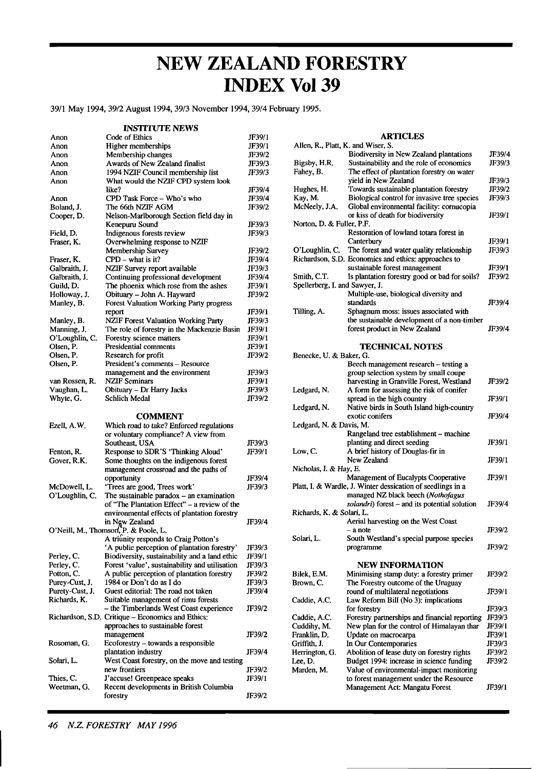### **NEW ZEALAND FORESTRY INDEX Vol39**

3911 May 1994,3912 August 1994,3913 November 1994,3914 February 1995.

**INSTITUTE NEWS** 

| Anon                           | Code of Ethics                                                             | JF39/1 |
|--------------------------------|----------------------------------------------------------------------------|--------|
| Anon                           | Higher memberships                                                         | JF39/1 |
| Anon                           | Membership changes                                                         | JF39/2 |
| Anon                           | Awards of New Zealand finalist                                             | JF39/3 |
| Anon                           | 1994 NZIF Council membership list                                          | JF39/3 |
| Anon                           | What would the NZIF CPD system look                                        |        |
|                                | like?                                                                      | JF39/4 |
| Anon                           | CPD Task Force - Who's who                                                 | JF39/4 |
| Boland, J.                     | The 66th NZIF AGM                                                          | JF39/2 |
| Cooper, D.                     | Nelson-Marlborough Section field day in                                    |        |
|                                | Kenepuru Sound                                                             | JF39/3 |
| Field, D.                      | Indigenous forests review                                                  | JF39/3 |
| Fraser, K.                     | Overwhelming response to NZIF                                              |        |
|                                | Membership Survey                                                          | JF39/2 |
| Fraser, K.                     | $CPD - what is it?$                                                        | JF39/4 |
| Galbraith, J.                  | NZIF Survey report available                                               | JF39/3 |
| Galbraith, J.                  | Continuing professional development                                        | JF39/4 |
| Guild, D.                      | The phoenix which rose from the ashes                                      | JF39/1 |
| Holloway, J.                   | Obituary - John A. Hayward                                                 | JF39/2 |
| Manley, B.                     | <b>Forest Valuation Working Party progress</b>                             |        |
|                                | report                                                                     | JF39/1 |
| Manley, B.                     | <b>NZIF Forest Valuation Working Party</b>                                 | JF39/3 |
| Manning, J.                    | The role of forestry in the Mackenzie Basin                                | JF39/1 |
| O'Loughlin, C.                 | Forestry science matters                                                   | JF39/1 |
| Olsen, P.                      | Presidential comments                                                      | JF39/1 |
| Olsen, P.                      | Research for profit                                                        | JF39/2 |
| Olsen, P.                      | President's comments - Resource                                            |        |
|                                | management and the environment                                             | JF39/3 |
| van Rossen, R.                 | <b>NZIF Seminars</b>                                                       | JF39/1 |
| Vaughan, L.                    | Obituary - Dr Harry Jacks                                                  | JF39/3 |
| Whyte, G.                      | <b>Schlich Medal</b>                                                       | JF39/2 |
|                                |                                                                            |        |
|                                | <b>COMMENT</b>                                                             |        |
| Ezell, A.W.                    | Which road to take? Enforced regulations                                   |        |
|                                | or voluntary compliance? A view from                                       |        |
|                                | Southeast, USA                                                             | JF39/3 |
| Fenton, R.                     | Response to SDR'S 'Thinking Aloud'                                         | JF39/1 |
| Gover, R.K.                    | Some thoughts on the indigenous forest                                     |        |
|                                | management crossroad and the paths of                                      |        |
|                                | opportunity                                                                | JF39/4 |
| McDowell, L.<br>O'Loughlin, C. | 'Trees are good, Trees work'<br>The sustainable paradox $-$ an examination | JF39/3 |
|                                | of "The Plantation Effect" - a review of the                               |        |
|                                | environmental effects of plantation forestry                               |        |
|                                | in Ngw Zealand                                                             | JF39/4 |
|                                | O'Neill, M., Thomson, P. & Poole, L.                                       |        |
|                                | A triunity responds to Craig Potton's                                      |        |
|                                | 'A public perception of plantation forestry'                               | JF39/3 |
| Perley, C.                     | Biodiversity, sustainability and a land ethic                              | JF39/1 |
| Perley, C.                     | Forest 'value', sustainability and utilisation                             | JF39/3 |
| Potton, C.                     | A public perception of plantation forestry                                 | JF39/2 |
| Purey-Cust, J.                 | 1984 or Don't do as I do                                                   | JF39/3 |
| Purety-Cust, J.                |                                                                            |        |
| Richards, K.                   |                                                                            |        |
|                                | Guest editorial: The road not taken                                        | JF39/4 |
|                                | Suitable management of rimu forests                                        | JF39/2 |
|                                | - the Timberlands West Coast experience                                    |        |
|                                | Richardson, S.D. Critique – Economics and Ethics:                          |        |
|                                | approaches to sustainable forest<br>management                             | JF39/2 |
| Rosoman, G.                    | Ecoforestry – towards a responsible                                        |        |
|                                | plantation industry                                                        | JF39/4 |
| Solari, L.                     | West Coast forestry, on the move and testing                               |        |
|                                | new frontiers                                                              | JF39/2 |
| Thies, C.                      | J'accuse! Greenpeace speaks                                                | JF39/1 |
| Weetman, G.                    | Recent developments in British Columbia<br>forestry                        | JF39/2 |

**ARTICLES** 

|                                | Allen, R., Platt, K. and Wiser, S.                                             |                  |  |
|--------------------------------|--------------------------------------------------------------------------------|------------------|--|
|                                | Biodiversity in New Zealand plantations                                        | JF39/4<br>JF39/3 |  |
| Bigsby, H.R.                   | Sustainability and the role of economics                                       |                  |  |
| Fahey, B.                      | The effect of plantation forestry on water                                     |                  |  |
|                                | yield in New Zealand                                                           | JF39/3           |  |
| Hughes, H.                     | Towards sustainable plantation forestry                                        | JF39/2           |  |
| Kay, M.                        | Biological control for invasive tree species                                   | JF39/3           |  |
| McNeely, J.A.                  | Global environmental facility: cornucopia<br>or kiss of death for biodiversity | JF39/1           |  |
| Norton, D. & Fuller, P.F.      |                                                                                |                  |  |
|                                | Restoration of lowland totara forest in                                        |                  |  |
|                                | Canterbury                                                                     | JF39/1           |  |
| O'Loughlin, C.                 | The forest and water quality relationship                                      | JF39/3           |  |
|                                | Richardson, S.D. Economics and ethics: approaches to                           |                  |  |
|                                | sustainable forest management                                                  | JF39/1           |  |
| Smith, C.T.                    | Is plantation forestry good or bad for soils?                                  | JF39/2           |  |
| Spellerberg, I. and Sawyer, J. |                                                                                |                  |  |
|                                | Multiple-use, biological diversity and                                         |                  |  |
|                                | standards                                                                      | JF39/4           |  |
| Tilling, A.                    | Sphagnum moss: issues associated with                                          |                  |  |
|                                | the sustainable development of a non-timber                                    |                  |  |
|                                | forest product in New Zealand                                                  | JF39/4           |  |
|                                | <b>TECHNICAL NOTES</b>                                                         |                  |  |
| Benecke, U. & Baker, G.        |                                                                                |                  |  |
|                                | Beech management research – testing a                                          |                  |  |
|                                | group selection system by small coupe                                          |                  |  |
|                                | harvesting in Granville Forest, Westland                                       | JF39/2           |  |
| Ledgard, N.                    | A form for assessing the risk of conifer                                       |                  |  |
|                                | spread in the high country                                                     | JF39/1           |  |
| Ledgard, N.                    | Native birds in South Island high-country                                      |                  |  |
|                                | exotic conifers                                                                | JF39/4           |  |
| Ledgard, N. & Davis, M.        |                                                                                |                  |  |
|                                | Rangeland tree establishment - machine                                         |                  |  |
|                                | planting and direct seeding                                                    | JF39/1           |  |
| Low, C.                        | A brief history of Douglas-fir in                                              |                  |  |
|                                | New Zealand                                                                    | JF39/1           |  |
| Nicholas, I. & Hay, E.         | Management of Eucalypts Cooperative                                            | JF39/1           |  |
|                                | Platt, I. & Wardle, J. Winter dessication of seedlings in a                    |                  |  |
|                                | managed NZ black beech (Nothofagus                                             |                  |  |
|                                | solandri) forest - and its potential solution                                  | JF39/4           |  |
| Richards, K. & Solari, L.      |                                                                                |                  |  |
|                                | Aerial harvesting on the West Coast                                            |                  |  |
|                                | – a note                                                                       | JF39/2           |  |
| Solari, L.                     | South Westland's special purpose species                                       |                  |  |
|                                | programme                                                                      | JF39/2           |  |
|                                |                                                                                |                  |  |
|                                | NEW INFORMATION                                                                |                  |  |
| Bilek, E.M.                    | Minimising stamp duty: a forestry primer                                       | JF39/2           |  |
| Brown, C.                      | The Forestry outcome of the Uruguay                                            |                  |  |
|                                | round of multilateral negotiations                                             | JF39/1           |  |
| Caddie, A.C.                   | Law Reform Bill (No 3): implications<br>for forestry                           |                  |  |
| Caddie, A.C.                   | Forestry partnerships and financial reporting                                  | JF39/3<br>JF39/3 |  |
| Cuddihy, M.                    | New plan for the control of Himalayan thar                                     | JF39/1           |  |
| Franklin, D.                   | Update on macrocarpa                                                           | JF39/1           |  |
| Griffith, J.                   | In Our Contemporaries                                                          | JF39/3           |  |
| Herrington, G.                 | Abolition of lease duty on forestry rights                                     | JF39/2           |  |
| Lee, D.                        | Budget 1994: increase in science funding                                       | JF39/2           |  |
| Marden, M.                     | Value of environmental-impact monitoring                                       |                  |  |
|                                | to forest management under the Resource                                        |                  |  |
|                                | Management Act: Mangatu Forest                                                 | JF39/1           |  |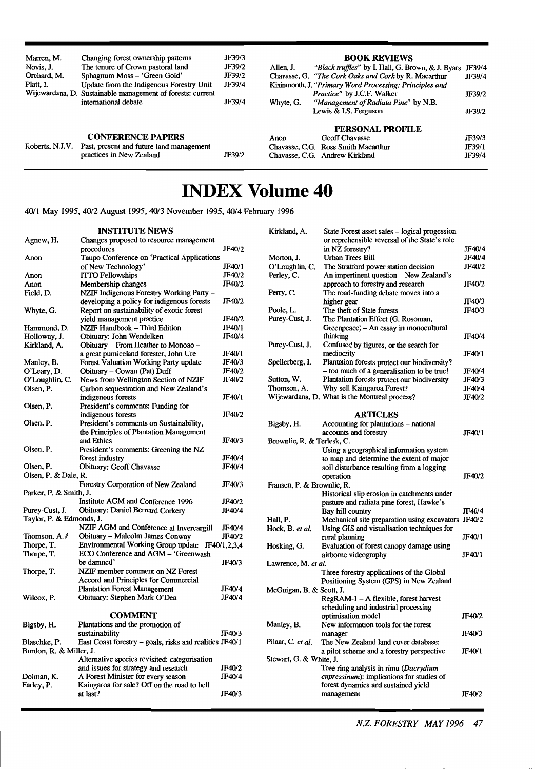| Marren, M.      | Changing forest ownership patterns                         | JF39/3 | <b>BOOK REVIEWS</b>                                                   |        |
|-----------------|------------------------------------------------------------|--------|-----------------------------------------------------------------------|--------|
| Novis. J.       | The tenure of Crown pastoral land                          | JF39/2 | "Black truffles" by I. Hall, G. Brown, & J. Byars JF39/4<br>Allen, J. |        |
| Orchard, M.     | Sphagnum Moss - 'Green Gold'                               | JF39/2 | Chavasse, G. "The Cork Oaks and Cork by R. Macarthur                  | JF39/4 |
| Platt. I.       | Update from the Indigenous Forestry Unit                   | JF39/4 | Kininmonth, J. "Primary Word Processing: Principles and               |        |
|                 | Wijewardana, D. Sustainable management of forests: current |        | <i>Practice"</i> by J.C.F. Walker                                     | JF39/2 |
|                 | international debate                                       | JF39/4 | "Management of Radiata Pine" by N.B.<br>Whyte, G.                     |        |
|                 |                                                            |        | Lewis & I.S. Ferguson                                                 | JF39/2 |
|                 |                                                            |        | <b>PERSONAL PROFILE</b>                                               |        |
|                 | <b>CONFERENCE PAPERS</b>                                   |        | <b>Geoff Chavasse</b><br>Anon                                         | JF39/3 |
| Roberts, N.J.V. | Past, present and future land management                   |        | Chavasse, C.G. Ross Smith Macarthur                                   | JF39/1 |
|                 | practices in New Zealand                                   | JF39/2 | Chavasse, C.G. Andrew Kirkland                                        | JF39/4 |

### **INDEX Volume 40**

**4011 May I995,40/2 August I995,40/3 November 1995,40/4 February 1996** 

**INSTITUTE NEWS** 

| Agnew, H.                | Changes proposed to resource management                 |              |
|--------------------------|---------------------------------------------------------|--------------|
|                          | procedures                                              | JF40/2       |
| Anon                     | Taupo Conference on 'Practical Applications             |              |
|                          | of New Technology'                                      | JF40/1       |
| Anon                     | <b>ITTO Fellowships</b>                                 | JF40/2       |
| Anon                     | Membership changes                                      | JF40/2       |
| Field, D.                | NZIF Indigenous Forestry Working Party -                |              |
|                          | developing a policy for indigenous forests              | JF40/2       |
| Whyte, G.                | Report on sustainability of exotic forest               |              |
|                          | yield management practice                               | JF40/2       |
| Hammond, D.              | NZIF Handbook - Third Edition                           | JF40/1       |
| Holloway, J.             | Obituary: John Wendelken                                | JF40/4       |
| Kirkland, A.             | Obituary – From Heather to Monoao –                     |              |
|                          | a great pumiceland forester, John Ure                   | JF40/1       |
| Manley, B.               | Forest Valuation Working Party update                   | JF40/3       |
| O'Leary, D.              | Obituary - Gowan (Pat) Duff                             | JF40/2       |
| O'Loughlin, C.           | News from Wellington Section of NZIF                    | JF40/2       |
| Olsen, P.                | Carbon sequestration and New Zealand's                  |              |
|                          | indigenous forests                                      | JF40/1       |
| Olsen, P.                | President's comments: Funding for                       |              |
|                          | indigenous forests                                      | JF40/2       |
| Olsen, P.                | President's comments on Sustainability,                 |              |
|                          | the Principles of Plantation Management                 |              |
|                          | and Ethics                                              | JF40/3       |
| Olsen, P.                | President's comments: Greening the NZ                   |              |
|                          | forest industry                                         | JF40/4       |
| Olsen, P.                | <b>Obituary: Geoff Chavasse</b>                         | JF40/4       |
| Olsen, P. & Dale, R.     |                                                         |              |
|                          | <b>Forestry Corporation of New Zealand</b>              | JF40/3       |
| Parker, P. & Smith, J.   |                                                         |              |
|                          | Institute AGM and Conference 1996                       | JF40/2       |
| Purey-Cust, J.           | <b>Obituary: Daniel Bernard Corkery</b>                 | JF40/4       |
| Taylor, P. & Edmonds, J. |                                                         |              |
|                          | NZIF AGM and Conference at Invercargill                 | JF40/4       |
| Thomson, $A.\ell$        | Obituary – Malcolm James Conway                         | JF40/2       |
| Thorpe, T.               | Environmental Working Group update                      | JF40/1,2,3,4 |
| Thorpe, T.               | ECO Conference and AGM - 'Greenwash                     |              |
|                          | be damned'                                              | JF40/3       |
|                          |                                                         |              |
| Thorpe, T.               | NZIF member comment on NZ Forest                        |              |
|                          | Accord and Principles for Commercial                    |              |
|                          | <b>Plantation Forest Management</b>                     | JF40/4       |
| Wilcox, P.               | Obituary: Stephen Mark O'Dea                            | JF40/4       |
|                          |                                                         |              |
|                          | <b>COMMENT</b>                                          |              |
| Bigsby, H.               | Plantations and the promotion of                        |              |
|                          | sustainability                                          | JF40/3       |
| Blaschke, P.             | East Coast forestry – goals, risks and realities JF40/1 |              |
| Burdon, R. & Miller, J.  |                                                         |              |
|                          | Alternative species revisited: categorisation           |              |
|                          | and issues for strategy and research                    | JF40/2       |
| Dolman, K.               | A Forest Minister for every season                      | JF40/4       |
| Farley, P.               | Kaingaroa for sale? Off on the road to hell             |              |

at last? **JF4013** 

| Kirkland, A.               | State Forest asset sales - logical progession                                   |        |
|----------------------------|---------------------------------------------------------------------------------|--------|
|                            | or reprehensible reversal of the State's role                                   |        |
|                            | in NZ forestry?                                                                 | JF40/4 |
| Morton, J.                 | <b>Urban Trees Bill</b>                                                         | JF40/4 |
| O'Loughlin, C.             | The Stratford power station decision<br>An impertinent question - New Zealand's | JF40/2 |
| Perley, C.                 |                                                                                 | JF40/2 |
|                            | approach to forestry and research<br>The road-funding debate moves into a       |        |
| Perry, C.                  | higher gear                                                                     | JF40/3 |
| Poole, L.                  | The theft of State forests                                                      | JF40/3 |
| Purey-Cust, J.             | The Plantation Effect (G. Rosoman,                                              |        |
|                            | Greenpeace) – An essay in monocultural                                          |        |
|                            | thinking                                                                        | JF40/4 |
| Purey-Cust, J.             | Confused by figures, or the search for                                          |        |
|                            | mediocrity                                                                      | JF40/1 |
| Spellerberg, I.            | Plantation forests protect our biodiversity?                                    |        |
|                            | - too much of a generalisation to be true!                                      | JF40/4 |
| Sutton, W.                 | Plantation forests protect our biodiversity                                     | JF40/3 |
| Thomson, A.                | Why sell Kaingaroa Forest?                                                      | JF40/4 |
|                            | Wijewardana, D. What is the Montreal process?                                   | JF40/2 |
|                            |                                                                                 |        |
|                            | <b>ARTICLES</b>                                                                 |        |
| Bigsby, H.                 | Accounting for plantations – national                                           |        |
|                            | accounts and forestry                                                           | JF40/1 |
| Brownlie, R. & Terlesk, C. |                                                                                 |        |
|                            | Using a geographical information system                                         |        |
|                            | to map and determine the extent of major                                        |        |
|                            | soil disturbance resulting from a logging                                       |        |
|                            | operation                                                                       | JF40/2 |
| Fransen, P. & Brownlie, R. |                                                                                 |        |
|                            | Historical slip erosion in catchments under                                     |        |
|                            | pasture and radiata pine forest, Hawke's                                        |        |
|                            | Bay hill country                                                                | JF40/4 |
| Hall, P.                   | Mechanical site preparation using excavators JF40/2                             |        |
| Hock, B. et al.            | Using GIS and visualisation techniques for                                      |        |
|                            | rural planning                                                                  | JF40/1 |
| Hosking, G.                | Evaluation of forest canopy damage using                                        |        |
|                            | airborne videography                                                            | JF40/1 |
| Lawrence, M. et al.        |                                                                                 |        |
|                            | Three forestry applications of the Global                                       |        |
|                            | Positioning System (GPS) in New Zealand                                         |        |
| McGuigan, B. & Scott, J.   |                                                                                 |        |
|                            | RegRAM-1 - A flexible, forest harvest                                           |        |
|                            | scheduling and industrial processing<br>optimisation model                      | JF40/2 |
|                            | New information tools for the forest                                            |        |
| Manley, B.                 | manager                                                                         | JF40/3 |
| Pilaar, C. et al.          | The New Zealand land cover database:                                            |        |
|                            | a pilot scheme and a forestry perspective                                       | JF40/1 |
| Stewart, G. & White, J.    |                                                                                 |        |
|                            | Tree ring analysis in rimu (Dacrydium                                           |        |
|                            | <i>cupressinum</i> ): implications for studies of                               |        |
|                            | forest dynamics and sustained yield                                             |        |
|                            | management                                                                      | JF40/2 |
|                            |                                                                                 |        |